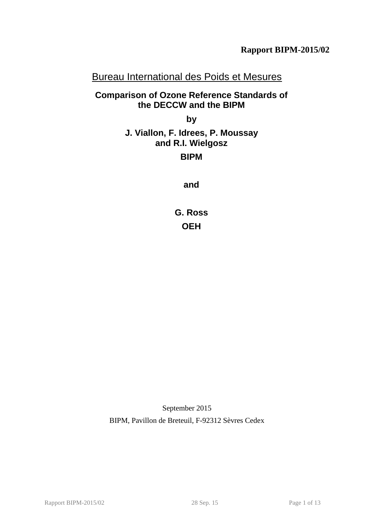# Bureau International des Poids et Mesures

# **Comparison of Ozone Reference Standards of the DECCW and the BIPM**

**by**

# <span id="page-0-0"></span>**J. Viallon, F. Idrees, P. Moussay and R.I. Wielgosz**

# **BIPM**

**and**

**G. Ross OEH**

September 2015 BIPM, Pavillon de Breteuil, F-92312 Sèvres Cedex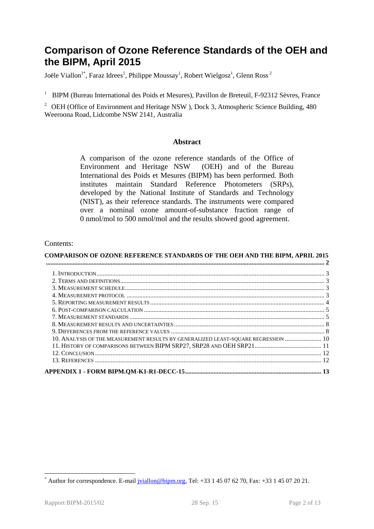# **Comparison of Ozone Reference Standards of the OEH and the BIPM, April 2015**

Joële Viallon $^{1*}$ , Faraz Idrees $^{1}$ , Philippe Moussay $^{1}$ , Robert Wielgosz $^{1}$ , Glenn Ross  $^{2}$ 

<sup>1</sup> BIPM (Bureau International des Poids et Mesures), Pavillon de Breteuil, F-92312 Sèvres, France

<span id="page-1-0"></span><sup>2</sup> [OEH](#page-0-0) (Office of Environment and Heritage NSW), Dock 3, Atmospheric Science Building, 480 Weeroona Road, Lidcombe NSW 2141, Australia

### **Abstract**

A comparison of the ozone reference standards of the [Office of](#page-1-0)  [Environment and Heritage NSW](#page-1-0) [\(OEH\)](#page-0-0) and of the Bureau International des Poids et Mesures (BIPM) has been performed. Both institutes maintain Standard Reference Photometers (SRPs), developed by the National Institute of Standards and Technology (NIST), as their reference standards. The instruments were compared over a nominal ozone amount-of-substance fraction range of 0 nmol/mol to 500 nmol/mol and the results showed good agreement.

### Contents:

| <b>COMPARISON OF OZONE REFERENCE STANDARDS OF THE OEH AND THE BIPM, APRIL 2015</b> |  |
|------------------------------------------------------------------------------------|--|
|                                                                                    |  |
|                                                                                    |  |
|                                                                                    |  |
|                                                                                    |  |
|                                                                                    |  |
|                                                                                    |  |
|                                                                                    |  |
|                                                                                    |  |
|                                                                                    |  |
|                                                                                    |  |
| 10. ANALYSIS OF THE MEASUREMENT RESULTS BY GENERALIZED LEAST-SQUARE REGRESSION  10 |  |
|                                                                                    |  |
|                                                                                    |  |
|                                                                                    |  |
|                                                                                    |  |

 $\overline{a}$ 

Author for correspondence. E-mail [jviallon@bipm.org,](mailto:jviallon@bipm.org) Tel: +33 1 45 07 62 70, Fax: +33 1 45 07 20 21.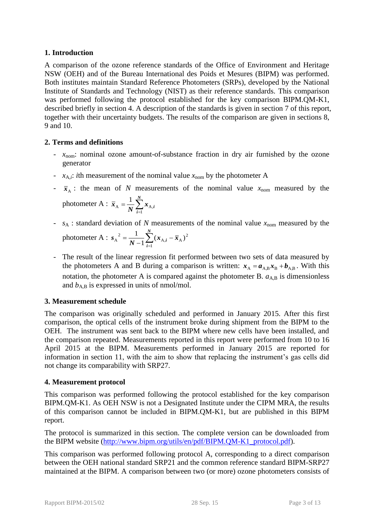## **1. Introduction**

A comparison of the ozone reference standards of the Office of Environment and Heritage NSW (OEH) and of the Bureau International des Poids et Mesures (BIPM) was performed. Both institutes maintain Standard Reference Photometers (SRPs), developed by the National Institute of Standards and Technology (NIST) as their reference standards. This comparison was performed following the protocol established for the key comparison BIPM.QM-K1, described briefly in section [4.](#page-2-0) A description of the standards is given in section [7](#page-4-0) of this report, together with their uncertainty budgets. The results of the comparison are given in sections [8,](#page-7-0) [9](#page-7-1) and [10.](#page-9-0)

# **2. Terms and definitions**

- *x*<sub>nom</sub>: nominal ozone amount-of-substance fraction in dry air furnished by the ozone generator
- $x_{A,i}$ : *i*th measurement of the nominal value  $x_{\text{nom}}$  by the photometer A
- $\bar{x}_A$ : the mean of *N* measurements of the nominal value  $x_{\text{nom}}$  measured by the photometer A :  $\bar{x}_A = \frac{1}{N} \sum_{i=1}^{N}$ *N*  $\bar{x}_{A} = \frac{1}{N} \sum_{i=1}^{N} x_{A,i}$ 1  $A = \frac{1}{\mathbf{M}} \sum \mathbf{A} A$ 1
- $s_A$ : standard deviation of *N* measurements of the nominal value  $x_{nom}$  measured by the photometer A :  $s_A^2 = \frac{1}{N-1} \sum_{i=1}^{N} (x_{A,i} \overline{a}$  $=$ *N i*  $\frac{1}{N-1} \sum_{i=1}^{N} (x_{A,i} - \bar{x})$ *s* 1  $_{A,i}$  –  $\overline{x}_A$ )<sup>2</sup> 2  $A^{2} = \frac{1}{N-1} \sum_{i=1}^{N} (x_{A,i} - \bar{x}_{A})$ 1 1
- The result of the linear regression fit performed between two sets of data measured by the photometers A and B during a comparison is written:  $x_A = a_{A,B}x_B + b_{A,B}$ . With this notation, the photometer A is compared against the photometer B.  $a_{A,B}$  is dimensionless and  $b_{AB}$  is expressed in units of nmol/mol.

# **3. Measurement schedule**

The comparison was originally scheduled and performed in January 2015. After this first comparison, the optical cells of the instrument broke during shipment from the BIPM to the OEH. The instrument was sent back to the BIPM where new cells have been installed, and the comparison repeated. Measurements reported in this report were performed from 10 to 16 April 2015 at the BIPM. Measurements performed in January 2015 are reported for information in section [11,](#page-10-0) with the aim to show that replacing the instrument's gas cells did not change its comparability with SRP27.

# <span id="page-2-0"></span>**4. Measurement protocol**

This comparison was performed following the protocol established for the key comparison BIPM.QM-K1. As OEH NSW is not a Designated Institute under the CIPM MRA, the results of this comparison cannot be included in BIPM.QM-K1, but are published in this BIPM report.

The protocol is summarized in this section. The complete version can be downloaded from the BIPM website [\(http://www.bipm.org/utils/en/pdf/BIPM.QM-K1\\_protocol.pdf\)](http://www.bipm.org/utils/en/pdf/BIPM.QM-K1_protocol.pdf).

<span id="page-2-1"></span>This comparison was performed following protocol A, corresponding to a direct comparison between the [OEH](#page-0-0) national standard SRP21 and the common reference standard BIPM-SRP27 maintained at the BIPM. A comparison between two (or more) ozone photometers consists of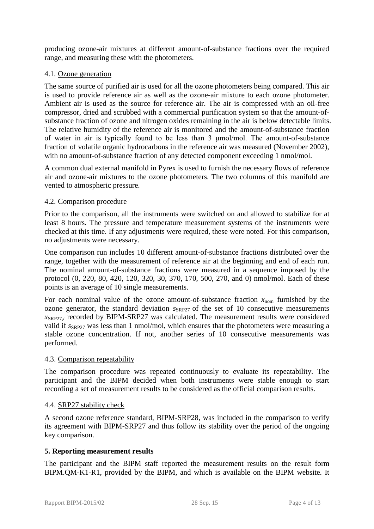producing ozone-air mixtures at different amount-of-substance fractions over the required range, and measuring these with the photometers.

## 4.1. Ozone generation

The same source of purified air is used for all the ozone photometers being compared. This air is used to provide reference air as well as the ozone-air mixture to each ozone photometer. Ambient air is used as the source for reference air. The air is compressed with an oil-free compressor, dried and scrubbed with a commercial purification system so that the amount-ofsubstance fraction of ozone and nitrogen oxides remaining in the air is below detectable limits. The relative humidity of the reference air is monitored and the amount-of-substance fraction of water in air is typically found to be less than 3 μmol/mol. The amount-of-substance fraction of volatile organic hydrocarbons in the reference air was measured (November 2002), with no amount-of-substance fraction of any detected component exceeding 1 nmol/mol.

A common dual external manifold in Pyrex is used to furnish the necessary flows of reference air and ozone-air mixtures to the ozone photometers. The two columns of this manifold are vented to atmospheric pressure.

## 4.2. Comparison procedure

Prior to the comparison, all the instruments were switched on and allowed to stabilize for at least 8 hours. The pressure and temperature measurement systems of the instruments were checked at this time. If any adjustments were required, these were noted. For this comparison, no adjustments were necessary.

One comparison run includes 10 different amount-of-substance fractions distributed over the range, together with the measurement of reference air at the beginning and end of each run. The nominal amount-of-substance fractions were measured in a sequence imposed by the protocol (0, 220, 80, 420, 120, 320, 30, 370, 170, 500, 270, and 0) nmol/mol. Each of these points is an average of 10 single measurements.

For each nominal value of the ozone amount-of-substance fraction  $x_{\text{nom}}$  furnished by the ozone generator, the standard deviation  $s_{SRP27}$  of the set of 10 consecutive measurements  $x_{SRP27,i}$  recorded by BIPM-SRP27 was calculated. The measurement results were considered valid if  $s_{SRP27}$  was less than 1 nmol/mol, which ensures that the photometers were measuring a stable ozone concentration. If not, another series of 10 consecutive measurements was performed.

## 4.3. Comparison repeatability

The comparison procedure was repeated continuously to evaluate its repeatability. The participant and the BIPM decided when both instruments were stable enough to start recording a set of measurement results to be considered as the official comparison results.

## 4.4. SRP27 stability check

A second ozone reference standard, BIPM-SRP28, was included in the comparison to verify its agreement with BIPM-SRP27 and thus follow its stability over the period of the ongoing key comparison.

## **5. Reporting measurement results**

<span id="page-3-0"></span>The participant and the BIPM staff reported the measurement results on the result form BIPM.QM-K1-R1, provided by the BIPM, and which is available on the BIPM website. It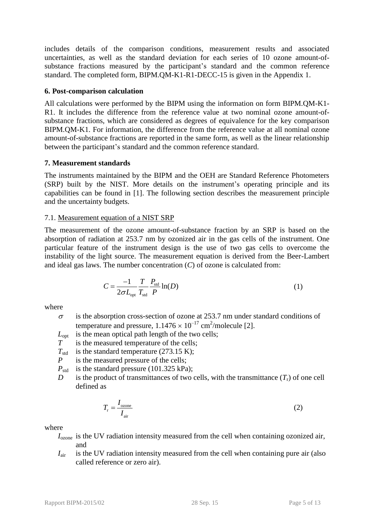includes details of the comparison conditions, measurement results and associated uncertainties, as well as the standard deviation for each series of 10 ozone amount-ofsubstance fractions measured by the participant's standard and the common reference standard. The completed form, BIPM.QM-K1-R1-DECC-15 is given in the Appendix 1.

## <span id="page-4-1"></span>**6. Post-comparison calculation**

All calculations were performed by the BIPM using the information on form [BIPM.QM-K1-](#page-3-0) [R1.](#page-3-0) It includes the difference from the reference value at two nominal ozone amount-ofsubstance fractions, which are considered as degrees of equivalence for the key comparison BIPM.QM-K1. For information, the difference from the reference value at all nominal ozone amount-of-substance fractions are reported in the same form, as well as the linear relationship between the participant's standard and the common reference standard.

## <span id="page-4-0"></span>**7. Measurement standards**

The instruments maintained by the BIPM and the [OEH](#page-0-0) are Standard Reference Photometers (SRP) built by the NIST. More details on the instrument's operating principle and its capabilities can be found in [1]. The following section describes the measurement principle and the uncertainty budgets.

## 7.1. Measurement equation of a NIST SRP

The measurement of the ozone amount-of-substance fraction by an SRP is based on the absorption of radiation at 253.7 nm by ozonized air in the gas cells of the instrument. One particular feature of the instrument design is the use of two gas cells to overcome the instability of the light source. The measurement equation is derived from the Beer-Lambert and ideal gas laws. The number concentration (*C*) of ozone is calculated from:

$$
C = \frac{-1}{2\sigma L_{\text{opt}}} \frac{T}{T_{\text{std}}} \frac{P_{\text{std}}}{P} \ln(D) \tag{1}
$$

where

- $\sigma$  is the absorption cross-section of ozone at 253.7 nm under standard conditions of temperature and pressure,  $1.1476 \times 10^{-17}$  cm<sup>2</sup>/molecule [2].
- *L*<sub>opt</sub> is the mean optical path length of the two cells;
- *T* is the measured temperature of the cells;
- $T_{std}$  is the standard temperature (273.15 K);
- *P* is the measured pressure of the cells;
- $P_{\text{std}}$  is the standard pressure (101.325 kPa);
- *D* is the product of transmittances of two cells, with the transmittance  $(T_r)$  of one cell defined as

$$
T_{\rm r} = \frac{I_{\rm ozone}}{I_{\rm air}}\tag{2}
$$

where

- *I*ozone is the UV radiation intensity measured from the cell when containing ozonized air, and
- *I*<sub>air</sub> is the UV radiation intensity measured from the cell when containing pure air (also called reference or zero air).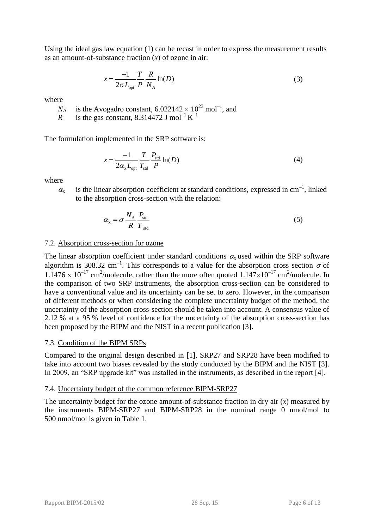Using the ideal gas law equation (1) can be recast in order to express the measurement results as an amount-of-substance fraction (*x*) of ozone in air:

$$
x = \frac{-1}{2\sigma L_{\text{opt}}} \frac{T}{P} \frac{R}{N_A} \ln(D) \tag{3}
$$

where

 $N_A$  is the Avogadro constant,  $6.022142 \times 10^{23}$  mol<sup>-1</sup>, and

*R* is the gas constant, 8.314472 J mol<sup>-1</sup> K<sup>-1</sup>

The formulation implemented in the SRP software is:

$$
x = \frac{-1}{2\alpha_x L_{\text{opt}}} \frac{T}{T_{\text{std}}} \frac{P_{\text{std}}}{P} \ln(D) \tag{4}
$$

where

 $\alpha_{x}$  is the linear absorption coefficient at standard conditions, expressed in cm<sup>-1</sup>, linked to the absorption cross-section with the relation:

$$
\alpha_{\rm x} = \sigma \frac{N_{\rm A}}{R} \frac{P_{\rm std}}{T_{\rm std}} \tag{5}
$$

## 7.2. Absorption cross-section for ozone

The linear absorption coefficient under standard conditions  $\alpha_{x}$  used within the SRP software algorithm is 308.32 cm<sup>-1</sup>. This corresponds to a value for the absorption cross section  $\sigma$  of  $1.1476 \times 10^{-17}$  cm<sup>2</sup>/molecule, rather than the more often quoted  $1.147 \times 10^{-17}$  cm<sup>2</sup>/molecule. In the comparison of two SRP instruments, the absorption cross-section can be considered to have a conventional value and its uncertainty can be set to zero. However, in the comparison of different methods or when considering the complete uncertainty budget of the method, the uncertainty of the absorption cross-section should be taken into account. A consensus value of 2.12 % at a 95 % level of confidence for the uncertainty of the absorption cross-section has been proposed by the BIPM and the NIST in a recent publication [3].

## 7.3. Condition of the BIPM SRPs

Compared to the original design described in [1], SRP27 and SRP28 have been modified to take into account two biases revealed by the study conducted by the BIPM and the NIST [3]. In 2009, an "SRP upgrade kit" was installed in the instruments, as described in the report [4].

## 7.4. Uncertainty budget of the common reference BIPM-SRP27

The uncertainty budget for the ozone amount-of-substance fraction in dry air (*x*) measured by the instruments BIPM-SRP27 and BIPM-SRP28 in the nominal range 0 nmol/mol to 500 nmol/mol is given in [Table 1.](#page-6-0)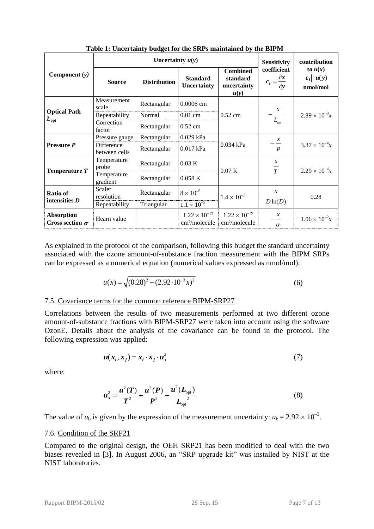<span id="page-6-0"></span>

|                                             |                             | Uncertainty $u(y)$       | <b>Sensitivity</b>                                  | contribution                                        |                                                      |                                             |
|---------------------------------------------|-----------------------------|--------------------------|-----------------------------------------------------|-----------------------------------------------------|------------------------------------------------------|---------------------------------------------|
| Component $(y)$                             | <b>Source</b>               | <b>Distribution</b>      | <b>Standard</b><br><b>Uncertainty</b>               | <b>Combined</b><br>standard<br>uncertainty<br>u(y)  | coefficient<br>$c_i = \frac{\partial x}{\partial y}$ | to $u(x)$<br>$ c_i  \cdot u(y)$<br>nmol/mol |
|                                             | Measurement<br>scale        | Rectangular              | 0.0006 cm                                           |                                                     |                                                      |                                             |
| <b>Optical Path</b>                         | Repeatability               | Normal                   | $0.52$ cm<br>$0.01$ cm                              |                                                     | $\frac{x}{1-x}$                                      | $2.89 \times 10^{-3}x$                      |
| $L_{\rm opt}$                               | Correction<br>factor        | Rectangular              | $0.52$ cm                                           |                                                     | $L_{\text{opt}}$                                     |                                             |
| <b>Pressure P</b>                           | Pressure gauge              | 0.029 kPa<br>Rectangular |                                                     |                                                     | $\mathcal{X}$                                        |                                             |
|                                             | Difference<br>between cells | Rectangular              | 0.017 kPa                                           | $0.034$ kPa                                         | $\boldsymbol{P}$                                     | $3.37 \times 10^{-4}x$                      |
| Temperature T                               | Temperature<br>probe        | Rectangular              | 0.03 K                                              | 0.07K                                               | $\mathcal{X}$<br>$\frac{1}{T}$                       | $2.29 \times 10^{-4}x$                      |
|                                             | Temperature<br>gradient     | Rectangular              | 0.058K                                              |                                                     |                                                      |                                             |
| <b>Ratio of</b><br>intensities $D$          | Scaler<br>resolution        | Rectangular              | $8 \times 10^{-6}$                                  | $1.4 \times 10^{-5}$                                | $\mathcal{X}$                                        | 0.28                                        |
|                                             | Repeatability               | Triangular               | $1.1 \times 10^{-5}$                                |                                                     | $D\ln(D)$                                            |                                             |
| <b>Absorption</b><br>Cross section $\sigma$ | Hearn value                 |                          | $1.22 \times 10^{-19}$<br>cm <sup>2</sup> /molecule | $1.22 \times 10^{-19}$<br>cm <sup>2</sup> /molecule | $\mathcal{X}$<br>$\alpha$                            | $1.06 \times 10^{-2}x$                      |

**Table 1: Uncertainty budget for the SRPs maintained by the BIPM**

As explained in the protocol of the comparison, following this budget the standard uncertainty associated with the ozone amount-of-substance fraction measurement with the BIPM SRPs can be expressed as a numerical equation (numerical values expressed as nmol/mol):

$$
u(x) = \sqrt{(0.28)^2 + (2.92 \cdot 10^{-3} x)^2}
$$
 (6)

## 7.5. Covariance terms for the common reference BIPM-SRP27

Correlations between the results of two measurements performed at two different ozone amount-of-substance fractions with BIPM-SRP27 were taken into account using the software OzonE. Details about the analysis of the covariance can be found in the protocol. The following expression was applied:

$$
\boldsymbol{u}(\boldsymbol{x}_i, \boldsymbol{x}_j) = \boldsymbol{x}_i \cdot \boldsymbol{x}_j \cdot \boldsymbol{u}_b^2 \tag{7}
$$

where:

$$
u_{\rm b}^2 = \frac{u^2(T)}{T^2} + \frac{u^2(P)}{P^2} + \frac{u^2(L_{\rm opt})}{L_{\rm opt}^2}
$$
 (8)

The value of  $u<sub>b</sub>$  is given by the expression of the measurement uncertainty:  $u<sub>b</sub> = 2.92 \times 10^{-3}$ .

#### 7.6. Condition of the [SRP21](#page-2-1)

Compared to the original design, the OEH [SRP21](#page-2-1) has been modified to deal with the two biases revealed in [3]. In August 2006, an "SRP upgrade kit" was installed by NIST at the NIST laboratories.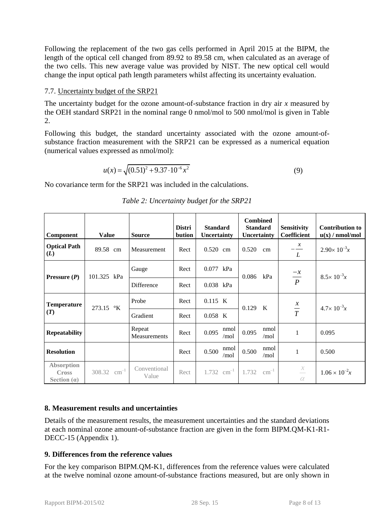Following the replacement of the two gas cells performed in April 2015 at the BIPM, the length of the optical cell changed from 89.92 to 89.58 cm, when calculated as an average of the two cells. This new average value was provided by NIST. The new optical cell would change the input optical path length parameters whilst affecting its uncertainty evaluation.

## 7.7. Uncertainty budget of the [SRP21](#page-2-1)

The uncertainty budget for the ozone amount-of-substance fraction in dry air *x* measured by the [OEH](#page-0-0) standard [SRP21](#page-2-1) in the nominal range 0 nmol/mol to 500 nmol/mol is given in [Table](#page-7-2)  [2.](#page-7-2)

Following this budget, the standard uncertainty associated with the ozone amount-ofsubstance fraction measurement with the [SRP21](#page-2-1) can be expressed as a numerical equation (numerical values expressed as nmol/mol):

$$
u(x) = \sqrt{(0.51)^2 + 9.37 \cdot 10^{-6} x^2}
$$
 (9)

<span id="page-7-2"></span>No covariance term for the [SRP21](#page-2-1) was included in the calculations.

| Component                                          | <b>Value</b>     | <b>Source</b>          | <b>Distri</b><br>bution | <b>Standard</b><br><b>Uncertainty</b> | <b>Combined</b><br><b>Standard</b><br>Uncertainty | <b>Sensitivity</b><br><b>Coefficient</b> | <b>Contribution to</b><br>u(x) / nmol/mol |
|----------------------------------------------------|------------------|------------------------|-------------------------|---------------------------------------|---------------------------------------------------|------------------------------------------|-------------------------------------------|
| <b>Optical Path</b><br>(L)                         | 89.58 cm         | Measurement            | Rect                    | $0.520$ cm                            | 0.520<br>cm                                       | $\mathcal{X}$<br>L                       | $2.90 \times 10^{-3}x$                    |
| Pressure $(P)$                                     | 101.325 kPa      | Gauge                  | Rect                    | $0.077$ kPa                           | 0.086<br>kPa                                      | $\frac{-x}{P}$                           | $8.5 \times 10^{-3}x$                     |
|                                                    |                  | Difference             | Rect                    | 0.038 kPa                             |                                                   |                                          |                                           |
| <b>Temperature</b>                                 | 273.15 °K        | Probe                  | Rect                    | 0.115 K                               | 0.129<br>$\mathbf{K}$                             | $rac{x}{T}$                              | $4.7 \times 10^{-3} x$                    |
| (T)                                                |                  | Gradient               | Rect                    | $0.058$ K                             |                                                   |                                          |                                           |
| <b>Repeatability</b>                               |                  | Repeat<br>Measurements | Rect                    | nmol<br>0.095<br>/mol                 | nmol<br>0.095<br>/mol                             |                                          | 0.095                                     |
| <b>Resolution</b>                                  |                  |                        | Rect                    | nmol<br>0.500<br>/mol                 | nmol<br>0.500<br>/mol                             |                                          | 0.500                                     |
| <b>Absorption</b><br><b>Cross</b><br>Section $(a)$ | 308.32 $cm^{-1}$ | Conventional<br>Value  | Rect                    | 1.732 $cm^{-1}$                       | $\text{cm}^{-1}$<br>1.732                         | $\frac{x}{-}$<br>$\alpha$                | $1.06 \times 10^{-2}x$                    |

# *Table 2: Uncertainty budget for the [SRP21](#page-2-1)*

# <span id="page-7-0"></span>**8. Measurement results and uncertainties**

Details of the measurement results, the measurement uncertainties and the standard deviations at each nominal ozone amount-of-substance fraction are given in the form [BIPM.QM-K1-R1-](#page-4-1) [DECC-15](#page-4-1) (Appendix 1).

# <span id="page-7-1"></span>**9. Differences from the reference values**

For the key comparison BIPM.QM-K1, differences from the reference values were calculated at the twelve nominal ozone amount-of-substance fractions measured, but are only shown in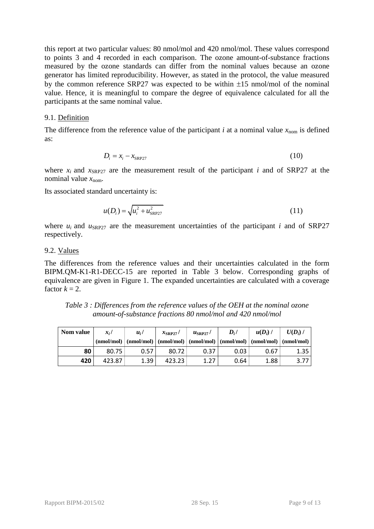this report at two particular values: 80 nmol/mol and 420 nmol/mol. These values correspond to points 3 and 4 recorded in each comparison. The ozone amount-of-substance fractions measured by the ozone standards can differ from the nominal values because an ozone generator has limited reproducibility. However, as stated in the protocol, the value measured by the common reference SRP27 was expected to be within  $\pm 15$  nmol/mol of the nominal value. Hence, it is meaningful to compare the degree of equivalence calculated for all the participants at the same nominal value.

### 9.1. Definition

The difference from the reference value of the participant *i* at a nominal value  $x_{\text{nom}}$  is defined as:

$$
D_i = x_i - x_{\text{SRP27}} \tag{10}
$$

where  $x_i$  and  $x_{SRP27}$  are the measurement result of the participant *i* and of SRP27 at the nominal value  $x_{\text{nom}}$ .

Its associated standard uncertainty is:

$$
u(D_i) = \sqrt{u_i^2 + u_{SRP27}^2}
$$
 (11)

where  $u_i$  and  $u_{SRP27}$  are the measurement uncertainties of the participant *i* and of SRP27 respectively.

#### 9.2. Values

The differences from the reference values and their uncertainties calculated in the form [BIPM.QM-K1-R1-DECC-15](#page-4-1) are reported in [Table 3](#page-8-0) below. Corresponding graphs of equivalence are given in [Figure 1.](#page-9-1) The expanded uncertainties are calculated with a coverage factor  $k = 2$ .

<span id="page-8-0"></span>*Table 3 : Differences from the reference values of the [OEH](#page-0-0) at the nominal ozone amount-of-substance fractions 80 nmol/mol and 420 nmol/mol*

| Nom value | $x_i$ / | $u_i$                                                                                                                                                                                                                                                                                                                                                                                                                                                                                                                                                                               | $x_{\text{SRP27}}$ / | $u_{\text{SRP27}}$ / | $D_i/$ | $u(D_i)$ / | $U(D_i)$ / |
|-----------|---------|-------------------------------------------------------------------------------------------------------------------------------------------------------------------------------------------------------------------------------------------------------------------------------------------------------------------------------------------------------------------------------------------------------------------------------------------------------------------------------------------------------------------------------------------------------------------------------------|----------------------|----------------------|--------|------------|------------|
|           |         | $(\text{nmol/mol}) \mid (\text{nmol/mol}) \mid (\text{nmol/mol}) \mid (\text{nmol/mol}) \mid (\text{nmol/mol}) \mid (\text{nmol/mol}) \mid (\text{nmol/mol}) \mid (\text{nmol/mol}) \mid (\text{nmol/mol}) \mid (\text{nmol/mol}) \mid (\text{nmol/mol}) \mid (\text{nmol/mol}) \mid (\text{nmol/mol}) \mid (\text{nmol/mol}) \mid (\text{nmol/mol}) \mid (\text{nmol/mol}) \mid (\text{nmol/mol}) \mid (\text{nmol/mol}) \mid (\text{nmol/mol}) \mid (\text{nmol/mol}) \mid (\text{nmol/mol}) \mid (\text{nmol/mol}) \mid (\text{nmol/mol}) \mid (\text{nmol/mol}) \mid (\text{nm$ |                      |                      |        |            |            |
| 80        | 80.75   | 0.57                                                                                                                                                                                                                                                                                                                                                                                                                                                                                                                                                                                | 80.72                | 0.37                 | 0.03   | 0.67       | 1.35       |
| 420       | 423.87  | 1.39                                                                                                                                                                                                                                                                                                                                                                                                                                                                                                                                                                                | 423.23               | 1.27                 | 0.64   | 1.88       |            |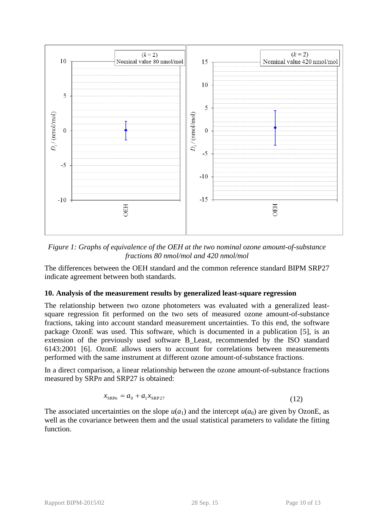

<span id="page-9-1"></span>*Figure 1: Graphs of equivalence of the [OEH](#page-0-0) at the two nominal ozone amount-of-substance fractions 80 nmol/mol and 420 nmol/mol* 

The differences between the OEH standard and the common reference standard BIPM SRP27 indicate agreement between both standards.

## <span id="page-9-0"></span>**10. Analysis of the measurement results by generalized least-square regression**

The relationship between two ozone photometers was evaluated with a generalized leastsquare regression fit performed on the two sets of measured ozone amount-of-substance fractions, taking into account standard measurement uncertainties. To this end, the software package OzonE was used. This software, which is documented in a publication [5], is an extension of the previously used software B\_Least, recommended by the ISO standard 6143:2001 [6]. OzonE allows users to account for correlations between measurements performed with the same instrument at different ozone amount-of-substance fractions.

In a direct comparison, a linear relationship between the ozone amount-of-substance fractions measured by SRP*n* and SRP27 is obtained:

$$
x_{\text{SRP}_n} = a_0 + a_1 x_{\text{SRP27}}
$$
 (12)

The associated uncertainties on the slope  $u(a_1)$  and the intercept  $u(a_0)$  are given by OzonE, as well as the covariance between them and the usual statistical parameters to validate the fitting function.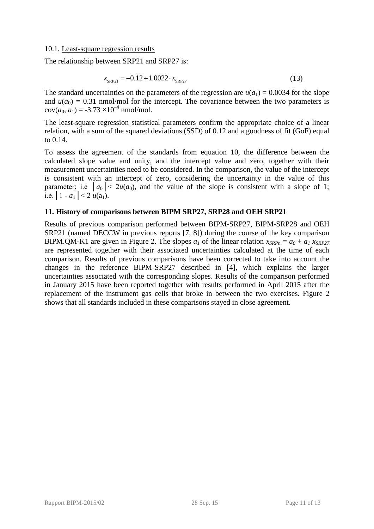### 10.1. Least-square regression results

The relationship between [SRP21](#page-2-1) and SRP27 is:

$$
x_{\text{SRP21}} = -0.12 + 1.0022 \cdot x_{\text{SRP27}} \tag{13}
$$

The standard uncertainties on the parameters of the regression are  $u(a_1) = 0.0034$  for the slope and  $u(a_0) = 0.31$  nmol/mol for the intercept. The covariance between the two parameters is  $cov(a_0, a_1) = -3.73 \times 10^{-4}$  nmol/mol.

The least-square regression statistical parameters confirm the appropriate choice of a linear relation, with a sum of the squared deviations (SSD) of 0.12 and a goodness of fit (GoF) equal to 0.14.

To assess the agreement of the standards from equation 10, the difference between the calculated slope value and unity, and the intercept value and zero, together with their measurement uncertainties need to be considered. In the comparison, the value of the intercept is consistent with an intercept of zero, considering the uncertainty in the value of this parameter; i.e  $|a_0| < 2u(a_0)$ , and the value of the slope is consistent with a slope of 1; i.e.  $|1 - a_1| < 2 u(a_1)$ .

### <span id="page-10-0"></span>**11. History of comparisons between BIPM SRP27, SRP28 and OEH [SRP21](#page-2-1)**

Results of previous comparison performed between BIPM-SRP27, BIPM-SRP28 and [OEH](#page-0-0) [SRP21](#page-2-1) (named DECCW in previous reports [7, 8]) during the course of the key comparison BIPM.QM-K1 are given in [Figure 2.](#page-11-0) The slopes  $a<sub>l</sub>$  of the linear relation  $x<sub>SRPn</sub> = a<sub>0</sub> + a<sub>l</sub> x<sub>SRP27</sub>$ are represented together with their associated uncertainties calculated at the time of each comparison. Results of previous comparisons have been corrected to take into account the changes in the reference BIPM-SRP27 described in [4], which explains the larger uncertainties associated with the corresponding slopes. Results of the comparison performed in January 2015 have been reported together with results performed in April 2015 after the replacement of the instrument gas cells that broke in between the two exercises. [Figure 2](#page-11-0) shows that all standards included in these comparisons stayed in close agreement.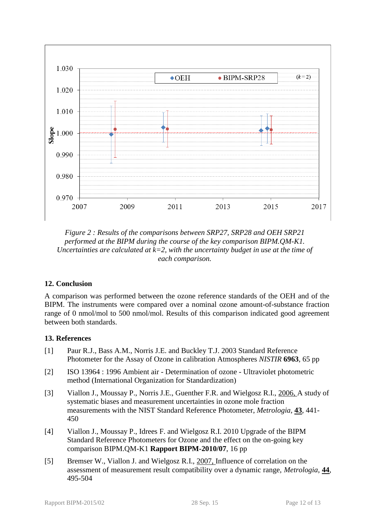

<span id="page-11-0"></span>*Figure 2 : Results of the comparisons between SRP27, SRP28 and [OEH](#page-0-0) [SRP21](#page-2-1) performed at the BIPM during the course of the key comparison BIPM.QM-K1. Uncertainties are calculated at*  $k=2$ *, with the uncertainty budget in use at the time of each comparison.* 

# **12. Conclusion**

A comparison was performed between the ozone reference standards of the OEH and of the BIPM. The instruments were compared over a nominal ozone amount-of-substance fraction range of 0 nmol/mol to 500 nmol/mol. Results of this comparison indicated good agreement between both standards.

## **13. References**

- [1] Paur R.J., Bass A.M., Norris J.E. and Buckley T.J. 2003 Standard Reference Photometer for the Assay of Ozone in calibration Atmospheres *NISTIR* **6963**, 65 pp
- [2] ISO 13964 : 1996 Ambient air Determination of ozone Ultraviolet photometric method (International Organization for Standardization)
- [3] Viallon J., Moussay P., Norris J.E., Guenther F.R. and Wielgosz R.I., 2006, A study of systematic biases and measurement uncertainties in ozone mole fraction measurements with the NIST Standard Reference Photometer, *Metrologia*, **43**, 441- 450
- [4] Viallon J., Moussay P., Idrees F. and Wielgosz R.I. 2010 Upgrade of the BIPM Standard Reference Photometers for Ozone and the effect on the on-going key comparison BIPM.QM-K1 **Rapport BIPM-2010/07**, 16 pp
- [5] Bremser W., Viallon J. and Wielgosz R.I., 2007, Influence of correlation on the assessment of measurement result compatibility over a dynamic range, *Metrologia*, **44**, 495-504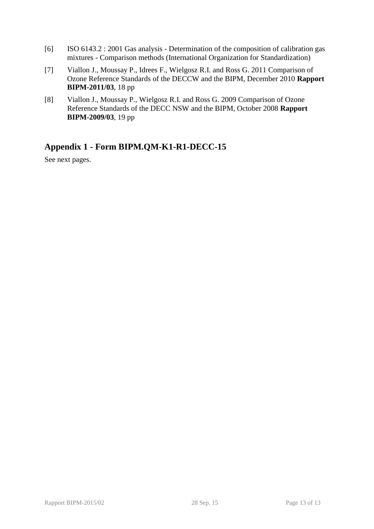- [6] ISO 6143.2 : 2001 Gas analysis Determination of the composition of calibration gas mixtures - Comparison methods (International Organization for Standardization)
- [7] Viallon J., Moussay P., Idrees F., Wielgosz R.I. and Ross G. 2011 Comparison of Ozone Reference Standards of the DECCW and the BIPM, December 2010 **Rapport BIPM-2011/03**, 18 pp
- [8] Viallon J., Moussay P., Wielgosz R.I. and Ross G. 2009 Comparison of Ozone Reference Standards of the DECC NSW and the BIPM, October 2008 **Rapport BIPM-2009/03**, 19 pp

# **Appendix 1 - Form [BIPM.QM-K1-R1-DECC-15](#page-4-1)**

See next pages.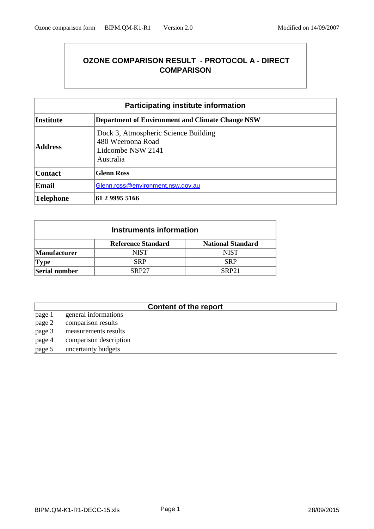# **OZONE COMPARISON RESULT - PROTOCOL A - DIRECT COMPARISON**

| <b>Participating institute information</b> |                                                                                             |  |  |  |
|--------------------------------------------|---------------------------------------------------------------------------------------------|--|--|--|
| <b>Institute</b>                           | <b>Department of Environment and Climate Change NSW</b>                                     |  |  |  |
| <b>Address</b>                             | Dock 3, Atmospheric Science Building<br>480 Weeroona Road<br>Lidcombe NSW 2141<br>Australia |  |  |  |
| <b>Contact</b>                             | <b>Glenn Ross</b>                                                                           |  |  |  |
| <b>Email</b>                               | Glenn.ross@environment.nsw.gov.au                                                           |  |  |  |
| Telephone                                  | 61 2 9995 5166                                                                              |  |  |  |

| Instruments information |                              |                          |  |  |  |  |
|-------------------------|------------------------------|--------------------------|--|--|--|--|
|                         | <b>Reference Standard</b>    | <b>National Standard</b> |  |  |  |  |
| <b>Manufacturer</b>     | <b>NIST</b>                  | <b>NIST</b>              |  |  |  |  |
| <b>Type</b>             | <b>SRP</b>                   | <b>SRP</b>               |  |  |  |  |
| Serial number           | <b>SRP27</b><br><b>SRP21</b> |                          |  |  |  |  |

# **Content of the report**

page 1 general informations page 2 comparison results page 3 measurements results page 4 comparison description page 5 uncertainty budgets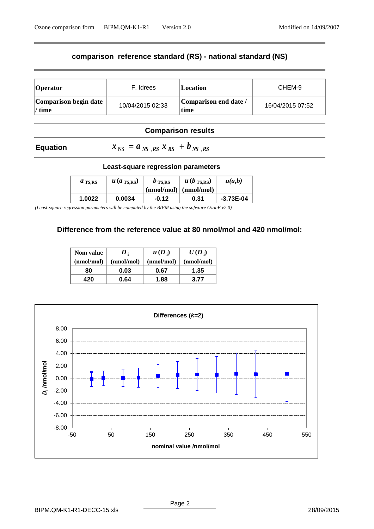## **comparison reference standard (RS) - national standard (NS)**

| <b>Operator</b>                    | F. Idrees        | <i><b>Location</b></i>        | CHEM-9           |
|------------------------------------|------------------|-------------------------------|------------------|
| Comparison begin date<br>$1/$ time | 10/04/2015 02:33 | Comparison end date /<br>time | 16/04/2015 07:52 |

## **Comparison results**

### **Equation**

 $x_{\rm NS}$  =  $a_{\rm NS}$  ,rs  $x_{\rm RS}$  +  $b_{\rm NS}$  ,rs

#### **Least-square regression parameters**

| $a_{\text{TS,RS}}$ | $\mu$ ( <i>a</i> <sub>TS,RS</sub> ) + | $b_{\text{TS,RS}}$ | $u(b_{\text{TS,RS}})$<br>$\pmod{mod}$ (nmol/mol) | u(a,b)      |
|--------------------|---------------------------------------|--------------------|--------------------------------------------------|-------------|
| 1.0022             | 0.0034                                | $-0.12$            | 0.31                                             | $-3.73E-04$ |

*(Least-square regression parameters will be computed by the BIPM using the sofwtare OzonE v2.0)*

#### **Difference from the reference value at 80 nmol/mol and 420 nmol/mol:**

| <b>Nom value</b> | $\boldsymbol{D}$ | $u(D_i)$   | $U(D_i)$   |
|------------------|------------------|------------|------------|
| (nmol/mol)       | (nmol/mol)       | (nmol/mol) | (nmol/mol) |
| 80               | 0.03             | 0.67       | 1.35       |
| 420              | 0.64             | 1.88       | 3.77       |

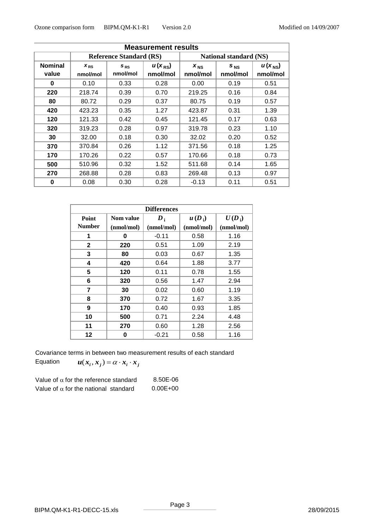| <b>Measurement results</b> |                                |                      |                         |                               |                      |                         |
|----------------------------|--------------------------------|----------------------|-------------------------|-------------------------------|----------------------|-------------------------|
|                            | <b>Reference Standard (RS)</b> |                      |                         | <b>National standard (NS)</b> |                      |                         |
| <b>Nominal</b><br>value    | $X_{RS}$<br>nmol/mol           | $S_{RS}$<br>nmol/mol | $u(x_{RS})$<br>nmol/mol | $X_{NS}$<br>nmol/mol          | $S_{NS}$<br>nmol/mol | $u(x_{NS})$<br>nmol/mol |
| 0                          | 0.10                           | 0.33                 | 0.28                    | 0.00                          | 0.19                 | 0.51                    |
| 220                        | 218.74                         | 0.39                 | 0.70                    | 219.25                        | 0.16                 | 0.84                    |
| 80                         | 80.72                          | 0.29                 | 0.37                    | 80.75                         | 0.19                 | 0.57                    |
| 420                        | 423.23                         | 0.35                 | 1.27                    | 423.87                        | 0.31                 | 1.39                    |
| 120                        | 121.33                         | 0.42                 | 0.45                    | 121.45                        | 0.17                 | 0.63                    |
| 320                        | 319.23                         | 0.28                 | 0.97                    | 319.78                        | 0.23                 | 1.10                    |
| 30                         | 32.00                          | 0.18                 | 0.30                    | 32.02                         | 0.20                 | 0.52                    |
| 370                        | 370.84                         | 0.26                 | 1.12                    | 371.56                        | 0.18                 | 1.25                    |
| 170                        | 170.26                         | 0.22                 | 0.57                    | 170.66                        | 0.18                 | 0.73                    |
| 500                        | 510.96                         | 0.32                 | 1.52                    | 511.68                        | 0.14                 | 1.65                    |
| 270                        | 268.88                         | 0.28                 | 0.83                    | 269.48                        | 0.13                 | 0.97                    |
| 0                          | 0.08                           | 0.30                 | 0.28                    | $-0.13$                       | 0.11                 | 0.51                    |

| <b>Differences</b> |            |                    |            |            |  |  |
|--------------------|------------|--------------------|------------|------------|--|--|
| Point              | Nom value  | $\boldsymbol{D}_1$ | $u(D_i)$   | $U(D_i)$   |  |  |
| <b>Number</b>      | (nmol/mol) | (nmol/mol)         | (nmol/mol) | (nmol/mol) |  |  |
| 1                  | 0          | $-0.11$            | 0.58       | 1.16       |  |  |
| $\mathbf{2}$       | 220        | 0.51               | 1.09       | 2.19       |  |  |
| 3                  | 80         | 0.03               | 0.67       | 1.35       |  |  |
| 4                  | 420        | 0.64               | 1.88       | 3.77       |  |  |
| 5                  | 120        | 0.11               | 0.78       | 1.55       |  |  |
| 6                  | 320        | 0.56               | 1.47       | 2.94       |  |  |
| 7                  | 30         | 0.02               | 0.60       | 1.19       |  |  |
| 8                  | 370        | 0.72               | 1.67       | 3.35       |  |  |
| 9                  | 170        | 0.40               | 0.93       | 1.85       |  |  |
| 10                 | 500        | 0.71               | 2.24       | 4.48       |  |  |
| 11                 | 270        | 0.60               | 1.28       | 2.56       |  |  |
| 12                 | 0          | $-0.21$            | 0.58       | 1.16       |  |  |

Covariance terms in between two measurement results of each standard

Equation 
$$
u(x_i, x_j) = \alpha \cdot x_i \cdot x_j
$$

| Value of $\alpha$ for the reference standard | 8.50E-06     |
|----------------------------------------------|--------------|
| Value of $\alpha$ for the national standard  | $0.00E + 00$ |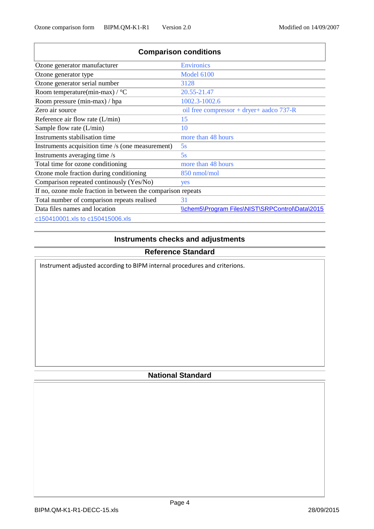| <b>Comparison conditions</b>                                 |                                                 |  |  |  |  |  |  |
|--------------------------------------------------------------|-------------------------------------------------|--|--|--|--|--|--|
| Ozone generator manufacturer                                 | <b>Environics</b>                               |  |  |  |  |  |  |
| Ozone generator type                                         | <b>Model 6100</b>                               |  |  |  |  |  |  |
| Ozone generator serial number                                | 3128                                            |  |  |  |  |  |  |
| Room temperature(min-max) / $\rm{^{\circ}C}$                 | 20.55-21.47                                     |  |  |  |  |  |  |
| Room pressure (min-max) / hpa                                | 1002.3-1002.6                                   |  |  |  |  |  |  |
| Zero air source                                              | oil free compressor + dryer+ aadco $737-R$      |  |  |  |  |  |  |
| Reference air flow rate $(L/min)$                            | 15                                              |  |  |  |  |  |  |
| Sample flow rate $(L/min)$                                   | 10                                              |  |  |  |  |  |  |
| Instruments stabilisation time                               | more than 48 hours                              |  |  |  |  |  |  |
| Instruments acquisition time /s (one measurement)            | 5s                                              |  |  |  |  |  |  |
| Instruments averaging time /s                                | 5s                                              |  |  |  |  |  |  |
| Total time for ozone conditioning                            | more than 48 hours                              |  |  |  |  |  |  |
| Ozone mole fraction during conditioning                      | 850 nmol/mol                                    |  |  |  |  |  |  |
| Comparison repeated continually (Yes/No)                     | yes                                             |  |  |  |  |  |  |
| If no, ozone mole fraction in between the comparison repeats |                                                 |  |  |  |  |  |  |
| Total number of comparison repeats realised                  | 31                                              |  |  |  |  |  |  |
| Data files names and location                                | \\chem5\Program Files\NIST\SRPControl\Data\2015 |  |  |  |  |  |  |
| c150410001.xls to c150415006.xls                             |                                                 |  |  |  |  |  |  |

# **Instruments checks and adjustments**

# **Reference Standard**

Instrument adjusted according to BIPM internal procedures and criterions.

# **National Standard**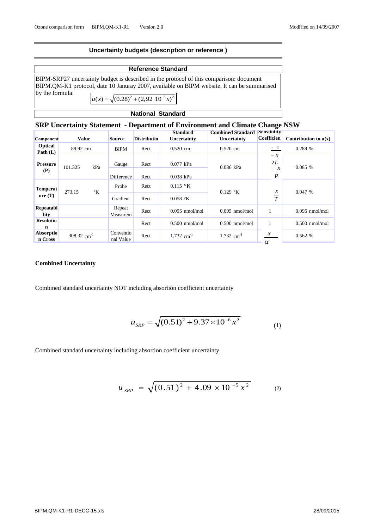#### **Uncertainty budgets (description or reference )**

| <b>Reference Standard</b> |                                                                                                                                                                                                                                              |  |  |  |  |  |  |
|---------------------------|----------------------------------------------------------------------------------------------------------------------------------------------------------------------------------------------------------------------------------------------|--|--|--|--|--|--|
| $\mathbf{v}$ the formula: | BIPM-SRP27 uncertainty budget is described in the protocol of this comparison: document<br>BIPM.QM-K1 protocol, date 10 Januray 2007, available on BIPM website. It can be summarised<br>$u(x) = \sqrt{(0.28)^2 + (2.92 \cdot 10^{-3} x)^2}$ |  |  |  |  |  |  |
| <b>National Standard</b>  |                                                                                                                                                                                                                                              |  |  |  |  |  |  |

### **SRP Uncertainty Statement - Department of Environment and Climate Change NSW**

|                           |                                      |                        |                    | <b>Standard</b>                                 | <b>Combined Standard</b>          | Sensibility                                              |                        |
|---------------------------|--------------------------------------|------------------------|--------------------|-------------------------------------------------|-----------------------------------|----------------------------------------------------------|------------------------|
| <b>Component</b>          | <b>Value</b>                         | Source                 | <b>Distributio</b> | Uncertainty                                     | Uncertainty                       | <b>Coefficien</b>                                        | Contribution to $u(x)$ |
| Optical<br>Path $(L)$     | 89.92 cm                             | <b>BIPM</b>            | Rect               | $0.520$ cm                                      | $0.520$ cm                        | $\frac{-1}{2}$                                           | 0.289%                 |
| <b>Pressure</b><br>(P)    | 101.325<br>kPa                       | Gauge<br>Difference    | Rect<br>Rect       | $0.077$ kPa<br>$0.038$ kPa                      | $0.086$ kPa                       | $-x$<br>2L<br>$-x$<br>$\overline{p}$                     | 0.085%                 |
| <b>Temperat</b><br>ure(T) | $\mathcal{C}_{\mathbf{K}}$<br>273.15 | Probe<br>Gradient      | Rect<br>Rect       | $0.115 \text{ }^{\circ} \text{K}$<br>$0.058$ °K | $0.129 \text{ }^{\circ} \text{K}$ | $\boldsymbol{\mathcal{X}}$<br>$\sim$<br>$\boldsymbol{T}$ | 0.047%                 |
| Repeatabi<br>lity         |                                      | Repeat<br>Measurem     | Rect               | $0.095$ nmol/mol                                | $0.095$ nmol/mol                  |                                                          | $0.095$ nmol/mol       |
| <b>Resolutio</b><br>n     |                                      |                        | Rect               | $0.500$ nmol/mol                                | $0.500$ nmol/mol                  |                                                          | $0.500$ nmol/mol       |
| Absorptio<br>n Cross      | 308.32 cm <sup>-1</sup>              | Conventio<br>nal Value | Rect               | $1.732$ cm <sup>-1</sup>                        | $1.732$ cm <sup>-1</sup>          | $\boldsymbol{\chi}$<br>$\alpha$                          | 0.562%                 |

#### **Combined Uncertainty**

Combined standard uncertainty NOT including absortion coefficient uncertainty

$$
u_{SRP} = \sqrt{(0.51)^2 + 9.37 \times 10^{-6} x^2}
$$
 (1)

Combined standard uncertainty including absortion coefficient uncertainty

$$
u_{\text{SRP}} = \sqrt{(0.51)^2 + 4.09 \times 10^{-5} x^2}
$$
 (2)